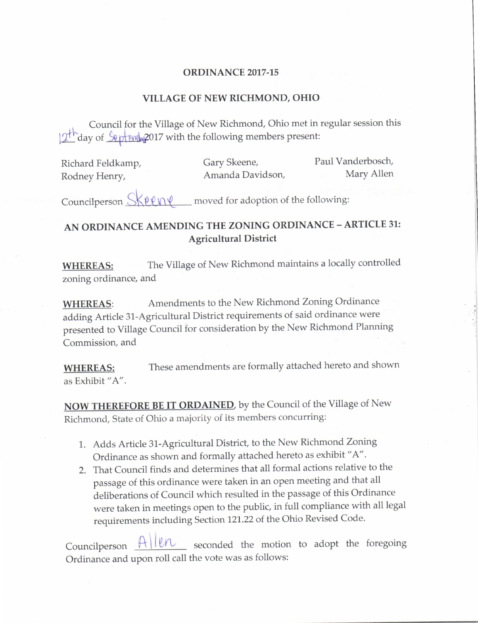## ORDINANCE 2017-15

## VILLAGE OF NEW RICHMOND, OHIO

Council for the Village of New Richmond, Ohio met in regular session this  $12<sup>th</sup>$  day of  $$$  eptembe 2017 with the following members present:

| Richard Feldkamp, | Gary Skeene,     | Paul Vanderbosch, |
|-------------------|------------------|-------------------|
| Rodney Henry,     | Amanda Davidson, | Mary Allen        |

Councilperson  $Skew\ell$  moved for adoption of the following:

## AN ORDINANCE AMENDING THE ZONING ORDINANCE — ARTICLE 31: Agricultural District

WHEREAS: The Village of New Richmond maintains a locally controlled zoning ordinance, and

WHEREAS: Amendments to the New Richmond Zoning Ordinance adding Article 31 -Agricultural District requirements of said ordinance were presented to Village Council for consideration by the New Richmond Planning Commission, and

WHEREAS: These amendments are formally attached hereto and shown as Exhibit "A".

NOW THEREFORE BE IT ORDAINED, by the Council of the Village of New Richmond, State of Ohio a majority of its members concurring:

- 1. Adds Article 31 -Agricultural District, to the New Richmond Zoning Ordinance as shown and formally attached hereto as exhibit " A".
- 2. That Council finds and determines that all formal actions relative to the passage of this ordinance were taken in an open meeting and that all deliberations of Council which resulted in the passage of this Ordinance were taken in meetings open to the public, in full compliance with all legal requirements including Section 121. 22 of the Ohio Revised Code.

Councilperson  $A||ln$  seconded the motion to adopt the foregoing Ordinance and upon roll call the vote was as follows: